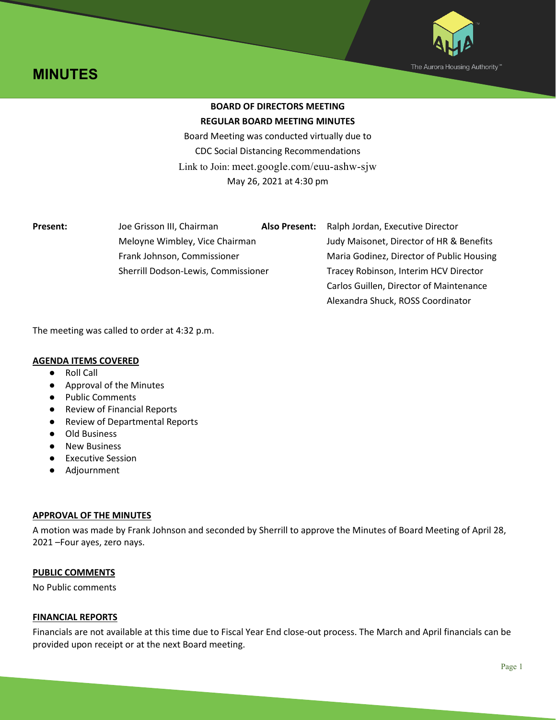



# **BOARD OF DIRECTORS MEETING REGULAR BOARD MEETING MINUTES**

Board Meeting was conducted virtually due to CDC Social Distancing Recommendations Link to Join: meet.google.com/euu-ashw-sjw May 26, 2021 at 4:30 pm

| Present: |  |
|----------|--|
|----------|--|

**Present:** Joe Grisson III, Chairman **Also Present:** Ralph Jordan, Executive Director Meloyne Wimbley, Vice Chairman Judy Maisonet, Director of HR & Benefits Frank Johnson, Commissioner Maria Godinez, Director of Public Housing Sherrill Dodson-Lewis, Commissioner Tracey Robinson, Interim HCV Director Carlos Guillen, Director of Maintenance Alexandra Shuck, ROSS Coordinator

The meeting was called to order at 4:32 p.m.

# **AGENDA ITEMS COVERED**

- Roll Call
- Approval of the Minutes
- Public Comments
- Review of Financial Reports
- Review of Departmental Reports
- Old Business
- New Business
- Executive Session
- Adjournment

# **APPROVAL OF THE MINUTES**

A motion was made by Frank Johnson and seconded by Sherrill to approve the Minutes of Board Meeting of April 28, 2021 –Four ayes, zero nays.

# **PUBLIC COMMENTS**

No Public comments

# **FINANCIAL REPORTS**

Financials are not available at this time due to Fiscal Year End close-out process. The March and April financials can be provided upon receipt or at the next Board meeting.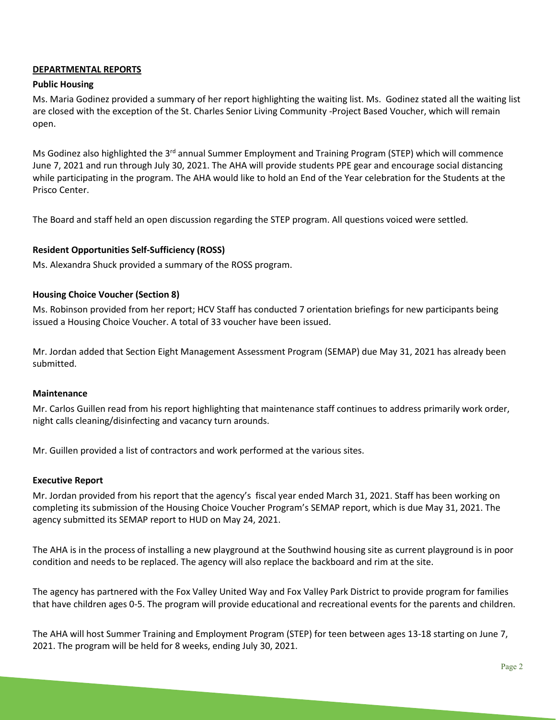## **DEPARTMENTAL REPORTS**

## **Public Housing**

Ms. Maria Godinez provided a summary of her report highlighting the waiting list. Ms. Godinez stated all the waiting list are closed with the exception of the St. Charles Senior Living Community -Project Based Voucher, which will remain open.

Ms Godinez also highlighted the 3<sup>rd</sup> annual Summer Employment and Training Program (STEP) which will commence June 7, 2021 and run through July 30, 2021. The AHA will provide students PPE gear and encourage social distancing while participating in the program. The AHA would like to hold an End of the Year celebration for the Students at the Prisco Center.

The Board and staff held an open discussion regarding the STEP program. All questions voiced were settled.

## **Resident Opportunities Self-Sufficiency (ROSS)**

Ms. Alexandra Shuck provided a summary of the ROSS program.

## **Housing Choice Voucher (Section 8)**

Ms. Robinson provided from her report; HCV Staff has conducted 7 orientation briefings for new participants being issued a Housing Choice Voucher. A total of 33 voucher have been issued.

Mr. Jordan added that Section Eight Management Assessment Program (SEMAP) due May 31, 2021 has already been submitted.

## **Maintenance**

Mr. Carlos Guillen read from his report highlighting that maintenance staff continues to address primarily work order, night calls cleaning/disinfecting and vacancy turn arounds.

Mr. Guillen provided a list of contractors and work performed at the various sites.

## **Executive Report**

Mr. Jordan provided from his report that the agency's fiscal year ended March 31, 2021. Staff has been working on completing its submission of the Housing Choice Voucher Program's SEMAP report, which is due May 31, 2021. The agency submitted its SEMAP report to HUD on May 24, 2021.

The AHA is in the process of installing a new playground at the Southwind housing site as current playground is in poor condition and needs to be replaced. The agency will also replace the backboard and rim at the site.

The agency has partnered with the Fox Valley United Way and Fox Valley Park District to provide program for families that have children ages 0-5. The program will provide educational and recreational events for the parents and children.

The AHA will host Summer Training and Employment Program (STEP) for teen between ages 13-18 starting on June 7, 2021. The program will be held for 8 weeks, ending July 30, 2021.